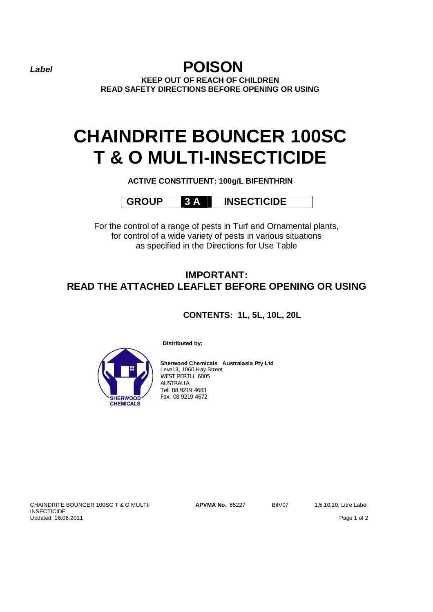*Label* **POISON KEEP OUT OF REACH OF CHILDREN READ SAFETY DIRECTIONS BEFORE OPENING OR USING**

# **CHAINDRITE BOUNCER 100SC T & O MULTI-INSECTICIDE**

**ACTIVE CONSTITUENT: 100g/L BIFENTHRIN**

**GROUP 3 A INSECTICIDE**

For the control of a range of pests in Turf and Ornamental plants, for control of a wide variety of pests in various situations as specified in the Directions for Use Table

# **IMPORTANT: READ THE ATTACHED LEAFLET BEFORE OPENING OR USING**

**CONTENTS: 1L, 5L, 10L, 20L** 



**Distributed by;**

**Sherwood Chemicals Australasia Pty Ltd** Level 3, 1060 Hay Street WEST PERTH 6005 AUSTRALIA Tel: 08 9219 4683 Fax: 08 9219 4672

CHAINDRITE BOUNCER 100SC T & O MULTI-**INSECTICIDE** Updated: 16.06.2011 Page 1 of 2

**APVMA No.** 65227 BifV07 1,5,10,20, Litre Label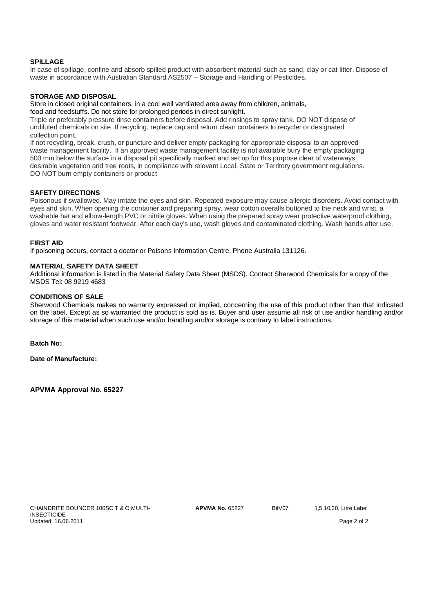# **SPILLAGE**

In case of spillage, confine and absorb spilled product with absorbent material such as sand, clay or cat litter. Dispose of waste in accordance with Australian Standard AS2507 – Storage and Handling of Pesticides.

# **STORAGE AND DISPOSAL**

Store in closed original containers, in a cool well ventilated area away from children, animals,

food and feedstuffs. Do not store for prolonged periods in direct sunlight.

Triple or preferably pressure rinse containers before disposal. Add rinsings to spray tank. DO NOT dispose of undiluted chemicals on site. If recycling, replace cap and return clean containers to recycler or designated collection point.

If not recycling, break, crush, or puncture and deliver empty packaging for appropriate disposal to an approved waste management facility. If an approved waste management facility is not available bury the empty packaging 500 mm below the surface in a disposal pit specifically marked and set up for this purpose clear of waterways, desirable vegetation and tree roots, in compliance with relevant Local, State or Territory government regulations. DO NOT burn empty containers or product

# **SAFETY DIRECTIONS**

Poisonous if swallowed. May irritate the eyes and skin. Repeated exposure may cause allergic disorders. Avoid contact with eyes and skin. When opening the container and preparing spray, wear cotton overalls buttoned to the neck and wrist, a washable hat and elbow-length PVC or nitrile gloves. When using the prepared spray wear protective waterproof clothing, gloves and water resistant footwear. After each day's use, wash gloves and contaminated clothing. Wash hands after use.

## **FIRST AID**

If poisoning occurs, contact a doctor or Poisons Information Centre. Phone Australia 131126.

## **MATERIAL SAFETY DATA SHEET**

Additional information is listed in the Material Safety Data Sheet (MSDS). Contact Sherwood Chemicals for a copy of the MSDS Tel: 08 9219 4683

# **CONDITIONS OF SALE**

Sherwood Chemicals makes no warranty expressed or implied, concerning the use of this product other than that indicated on the label. Except as so warranted the product is sold as is. Buyer and user assume all risk of use and/or handling and/or storage of this material when such use and/or handling and/or storage is contrary to label instructions.

**Batch No:**

**Date of Manufacture:**

**APVMA Approval No. 65227**

CHAINDRITE BOUNCER 100SC T & O MULTI-INSECTICIDE Updated: 16.06.2011 Page 2 of 2

**APVMA No.** 65227 BifV07 1,5,10,20, Litre Label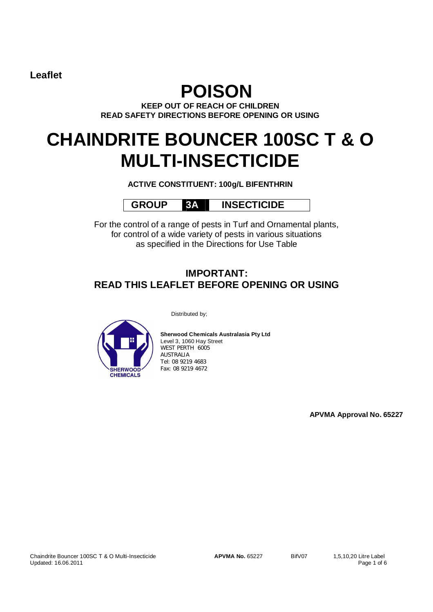**Leaflet** 

# **POISON**

**KEEP OUT OF REACH OF CHILDREN READ SAFETY DIRECTIONS BEFORE OPENING OR USING**

# **CHAINDRITE BOUNCER 100SC T & O MULTI-INSECTICIDE**

**ACTIVE CONSTITUENT: 100g/L BIFENTHRIN**

 **GROUP 3A INSECTICIDE**

For the control of a range of pests in Turf and Ornamental plants, for control of a wide variety of pests in various situations as specified in the Directions for Use Table

# **IMPORTANT: READ THIS LEAFLET BEFORE OPENING OR USING**

Distributed by;



**Sherwood Chemicals Australasia Pty Ltd** Level 3, 1060 Hay Street WEST PERTH 6005 AUSTRALIA Tel: 08 9219 4683 Fax: 08 9219 4672

**APVMA Approval No. 65227**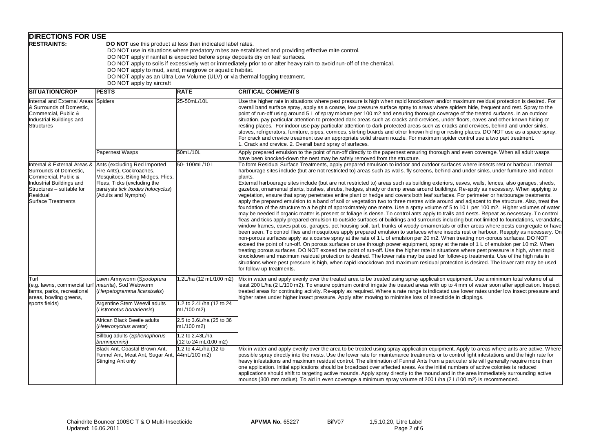|                                                                                                                                                                                                                                                                                                                                                                                                                                                                                                                                                                                      | <b>DIRECTIONS FOR USE</b>                                                                                                                                                                |                                         |                                                                                                                                                                                                                                                                                                                                                                                                                                                                                                                                                                                                                                                                                                                                                                                                                                                                                                                                                                                                                                                                                                                                                                                                                                                                                                                                                                                                                                                                                                                                                                                                                                                                                                                                                                                                                                                                                                                                                                                                                                                                                                                                                                                                                                                                                                                                   |  |  |  |
|--------------------------------------------------------------------------------------------------------------------------------------------------------------------------------------------------------------------------------------------------------------------------------------------------------------------------------------------------------------------------------------------------------------------------------------------------------------------------------------------------------------------------------------------------------------------------------------|------------------------------------------------------------------------------------------------------------------------------------------------------------------------------------------|-----------------------------------------|-----------------------------------------------------------------------------------------------------------------------------------------------------------------------------------------------------------------------------------------------------------------------------------------------------------------------------------------------------------------------------------------------------------------------------------------------------------------------------------------------------------------------------------------------------------------------------------------------------------------------------------------------------------------------------------------------------------------------------------------------------------------------------------------------------------------------------------------------------------------------------------------------------------------------------------------------------------------------------------------------------------------------------------------------------------------------------------------------------------------------------------------------------------------------------------------------------------------------------------------------------------------------------------------------------------------------------------------------------------------------------------------------------------------------------------------------------------------------------------------------------------------------------------------------------------------------------------------------------------------------------------------------------------------------------------------------------------------------------------------------------------------------------------------------------------------------------------------------------------------------------------------------------------------------------------------------------------------------------------------------------------------------------------------------------------------------------------------------------------------------------------------------------------------------------------------------------------------------------------------------------------------------------------------------------------------------------------|--|--|--|
| <b>RESTRAINTS:</b><br><b>DO NOT</b> use this product at less than indicated label rates.<br>DO NOT use in situations where predatory mites are established and providing effective mite control.<br>DO NOT apply if rainfall is expected before spray deposits dry on leaf surfaces.<br>DO NOT apply to soils if excessively wet or immediately prior to or after heavy rain to avoid run-off of the chemical.<br>DO NOT apply to mud, sand, mangrove or aquatic habitat.<br>DO NOT apply as an Ultra Low Volume (ULV) or via thermal fogging treatment.<br>DO NOT apply by aircraft |                                                                                                                                                                                          |                                         |                                                                                                                                                                                                                                                                                                                                                                                                                                                                                                                                                                                                                                                                                                                                                                                                                                                                                                                                                                                                                                                                                                                                                                                                                                                                                                                                                                                                                                                                                                                                                                                                                                                                                                                                                                                                                                                                                                                                                                                                                                                                                                                                                                                                                                                                                                                                   |  |  |  |
| <b>SITUATION/CROP</b>                                                                                                                                                                                                                                                                                                                                                                                                                                                                                                                                                                | <b>PESTS</b>                                                                                                                                                                             | <b>RATE</b>                             | <b>CRITICAL COMMENTS</b>                                                                                                                                                                                                                                                                                                                                                                                                                                                                                                                                                                                                                                                                                                                                                                                                                                                                                                                                                                                                                                                                                                                                                                                                                                                                                                                                                                                                                                                                                                                                                                                                                                                                                                                                                                                                                                                                                                                                                                                                                                                                                                                                                                                                                                                                                                          |  |  |  |
| Internal and External Areas Spiders<br>& Surrounds of Domestic,<br>Commercial, Public &<br>Industrial Buildings and<br>Structures                                                                                                                                                                                                                                                                                                                                                                                                                                                    |                                                                                                                                                                                          | 25-50mL/10L                             | Use the higher rate in situations where pest pressure is high when rapid knockdown and/or maximum residual protection is desired. For<br>overall band surface spray, apply as a coarse, low pressure surface spray to areas where spiders hide, frequent and rest. Spray to the<br>point of run-off using around 5 L of spray mixture per 100 m2 and ensuring thorough coverage of the treated surfaces. In an outdoor<br>situation, pay particular attention to protected dark areas such as cracks and crevices, under floors, eaves and other known hiding or<br>resting places. For indoor use pay particular attention to dark protected areas such as cracks and crevices, behind and under sinks,<br>stoves, refrigerators, furniture, pipes, cornices, skirting boards and other known hiding or resting places. DO NOT use as a space spray.<br>For crack and crevice treatment use an appropriate solid stream nozzle. For maximum spider control use a two part treatment.<br>1. Crack and crevice. 2. Overall band spray of surfaces.                                                                                                                                                                                                                                                                                                                                                                                                                                                                                                                                                                                                                                                                                                                                                                                                                                                                                                                                                                                                                                                                                                                                                                                                                                                                                 |  |  |  |
|                                                                                                                                                                                                                                                                                                                                                                                                                                                                                                                                                                                      | <b>Papernest Wasps</b>                                                                                                                                                                   | 50mL/10L                                | Apply prepared emulsion to the point of run-off directly to the papernest ensuring thorough and even coverage. When all adult wasps<br>have been knocked-down the nest may be safely removed from the structure.                                                                                                                                                                                                                                                                                                                                                                                                                                                                                                                                                                                                                                                                                                                                                                                                                                                                                                                                                                                                                                                                                                                                                                                                                                                                                                                                                                                                                                                                                                                                                                                                                                                                                                                                                                                                                                                                                                                                                                                                                                                                                                                  |  |  |  |
| Internal & External Areas &<br>Surrounds of Domestic,<br>Commercial, Public &<br>Industrial Buildings and<br>Structures - suitable for<br>Residual<br><b>Surface Treatments</b>                                                                                                                                                                                                                                                                                                                                                                                                      | Ants (excluding Red Imported<br>Fire Ants), Cockroaches,<br>Mosquitoes, Biting Midges, Flies,<br>Fleas, Ticks (excluding the<br>paralysis tick Ixodes holocyclus)<br>(Adults and Nymphs) | 50-100mL/10L                            | To form Residual Surface Treatments, apply prepared emulsion to indoor and outdoor surfaces where insects rest or harbour. Internal<br>harbourage sites include (but are not restricted to) areas such as walls, fly screens, behind and under sinks, under furniture and indoor<br>blants.<br>External harbourage sites include (but are not restricted to) areas such as building exteriors, eaves, walls, fences, also garages, sheds,<br>gazebos, ornamental plants, bushes, shrubs, hedges, shady or damp areas around buildings. Re-apply as necessary. When applying to<br>vegetation, ensure that spray penetrates entire plant or hedge and covers both leaf surfaces. For perimeter or harbourage treatments,<br>apply the prepared emulsion to a band of soil or vegetation two to three metres wide around and adjacent to the structure. Also, treat the<br>foundation of the structure to a height of approximately one metre. Use a spray volume of 5 to 10 L per 100 m2. Higher volumes of water<br>may be needed if organic matter is present or foliage is dense. To control ants apply to trails and nests. Repeat as necessary. To control<br>fleas and ticks apply prepared emulsion to outside surfaces of buildings and surrounds including but not limited to foundations, verandahs,<br>window frames, eaves patios, garages, pet housing soil, turf, trunks of woody omamentals or other areas where pests congregate or have<br>been seen. To control flies and mosquitoes apply prepared emulsion to surfaces where insects rest or harbour. Reapply as necessary. On<br>non-porous surfaces apply as a coarse spray at the rate of 1 L of emulsion per 20 m2. When treating non-porous surfaces, DO NOT<br>exceed the point of run-off. On porous surfaces or use through power equipment, spray at the rate of 1 L of emulsion per 10 m2. When<br>treating porous surfaces, DO NOT exceed the point of run-off. Use the higher rate in situations where pest pressure is high, when rapid<br>knockdown and maximum residual protection is desired. The lower rate may be used for follow-up treatments. Use of the high rate in<br>situations where pest pressure is high, when rapid knockdown and maximum residual protection is desired. The lower rate may be used<br>for follow-up treatments. |  |  |  |
| Turf<br>(e.g. lawns, commercial turf<br>farms, parks, recreational<br>areas, bowling greens,                                                                                                                                                                                                                                                                                                                                                                                                                                                                                         | awn Armyworm (Spodoptera<br>maurita), Sod Webworm<br>(Herpetogramma licarsisalis)                                                                                                        | 1.2L/ha (12 mL/100 m2)                  | Mix in water and apply evenly over the treated area to be treated using spray application equipment. Use a minimum total volume of at<br>least 200 L/ha (2 L/100 m2). To ensure optimum control irrigate the treated areas with up to 4 mm of water soon after application. Inspect<br>treated areas for continuing activity. Re-apply as required. Where a rate range is indicated use lower rates under low insect pressure and<br>higher rates under higher insect pressure. Apply after mowing to minimise loss of insecticide in clippings.                                                                                                                                                                                                                                                                                                                                                                                                                                                                                                                                                                                                                                                                                                                                                                                                                                                                                                                                                                                                                                                                                                                                                                                                                                                                                                                                                                                                                                                                                                                                                                                                                                                                                                                                                                                  |  |  |  |
| sports fields)                                                                                                                                                                                                                                                                                                                                                                                                                                                                                                                                                                       | Argentine Stem Weevil adults<br>(Listronotus bonariensis)                                                                                                                                | 1.2 to 2.4L/ha (12 to 24<br>mL/100 m2)  |                                                                                                                                                                                                                                                                                                                                                                                                                                                                                                                                                                                                                                                                                                                                                                                                                                                                                                                                                                                                                                                                                                                                                                                                                                                                                                                                                                                                                                                                                                                                                                                                                                                                                                                                                                                                                                                                                                                                                                                                                                                                                                                                                                                                                                                                                                                                   |  |  |  |
|                                                                                                                                                                                                                                                                                                                                                                                                                                                                                                                                                                                      | African Black Beetle adults<br>(Heteronychus arator)                                                                                                                                     | 2.5 to 3.6L/ha (25 to 36<br>mL/100 m2)  |                                                                                                                                                                                                                                                                                                                                                                                                                                                                                                                                                                                                                                                                                                                                                                                                                                                                                                                                                                                                                                                                                                                                                                                                                                                                                                                                                                                                                                                                                                                                                                                                                                                                                                                                                                                                                                                                                                                                                                                                                                                                                                                                                                                                                                                                                                                                   |  |  |  |
|                                                                                                                                                                                                                                                                                                                                                                                                                                                                                                                                                                                      | Billbug adults (Sphenophorus<br>brunnipennis)                                                                                                                                            | 1.2 to 2.43L/ha<br>(12 to 24 mL/100 m2) |                                                                                                                                                                                                                                                                                                                                                                                                                                                                                                                                                                                                                                                                                                                                                                                                                                                                                                                                                                                                                                                                                                                                                                                                                                                                                                                                                                                                                                                                                                                                                                                                                                                                                                                                                                                                                                                                                                                                                                                                                                                                                                                                                                                                                                                                                                                                   |  |  |  |
|                                                                                                                                                                                                                                                                                                                                                                                                                                                                                                                                                                                      | Black Ant, Coastal Brown Ant,<br>Funnel Ant, Meat Ant, Sugar Ant, 44mL/100 m2)<br>Stinging Ant only                                                                                      | 1.2 to 4.4L/ha (12 to                   | Mix in water and apply evenly over the area to be treated using spray application equipment. Apply to areas where ants are active. Where<br>possible spray directly into the nests. Use the lower rate for maintenance treatments or to control light infestations and the high rate for<br>heavy infestations and maximum residual control. The elimination of Funnel Ants from a particular site will generally require more than<br>one application. Initial applications should be broadcast over affected areas. As the initial numbers of active colonies is reduced<br>applications should shift to targeting active mounds. Apply spray directly to the mound and in the area immediately surrounding active<br>mounds (300 mm radius). To aid in even coverage a minimum spray volume of 200 L/ha (2 L/100 m2) is recommended.                                                                                                                                                                                                                                                                                                                                                                                                                                                                                                                                                                                                                                                                                                                                                                                                                                                                                                                                                                                                                                                                                                                                                                                                                                                                                                                                                                                                                                                                                           |  |  |  |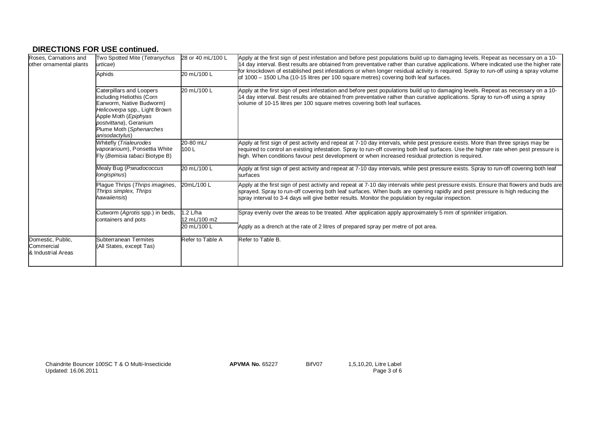# **DIRECTIONS FOR USE continued.**

| Roses, Carnations and<br>other ornamental plants      | Two Spotted Mite (Tetranychus<br>urticae)<br>Aphids                                                                                                                                                                       | 28 or 40 mL/100 L<br>20 mL/100 L | Apply at the first sign of pest infestation and before pest populations build up to damaging levels. Repeat as necessary on a 10-<br>14 day interval. Best results are obtained from preventative rather than curative applications. Where indicated use the higher rate<br>for knockdown of established pest infestations or when longer residual activity is required. Spray to run-off using a spray volume<br>of 1000 - 1500 L/ha (10-15 litres per 100 square metres) covering both leaf surfaces. |
|-------------------------------------------------------|---------------------------------------------------------------------------------------------------------------------------------------------------------------------------------------------------------------------------|----------------------------------|---------------------------------------------------------------------------------------------------------------------------------------------------------------------------------------------------------------------------------------------------------------------------------------------------------------------------------------------------------------------------------------------------------------------------------------------------------------------------------------------------------|
|                                                       | Caterpillars and Loopers<br>including Heliothis (Corn<br>Earworm, Native Budworm)<br>Helicoverpa spp., Light Brown<br>Apple Moth ( <i>Epiphyas</i><br>postvittana), Geranium<br>Plume Moth (Sphenarches<br>anisodactylus) | 20 mL/100 L                      | Apply at the first sign of pest infestation and before pest populations build up to damaging levels. Repeat as necessary on a 10-<br>14 day interval. Best results are obtained from preventative rather than curative applications. Spray to run-off using a spray<br>volume of 10-15 litres per 100 square metres covering both leaf surfaces.                                                                                                                                                        |
|                                                       | Whitefly (Trialeurodes<br>vaporarioum), Ponsettia White<br>Fly (Bemisia tabaci Biotype B)                                                                                                                                 | 20-80 mL/<br>100L                | Apply at first sign of pest activity and repeat at 7-10 day intervals, while pest pressure exists. More than three sprays may be<br>required to control an existing infestation. Spray to run-off covering both leaf surfaces. Use the higher rate when pest pressure is<br>high. When conditions favour pest development or when increased residual protection is required.                                                                                                                            |
|                                                       | Mealy Bug (Pseudococcus<br>longispinus)                                                                                                                                                                                   | 20 mL/100 L                      | Apply at first sign of pest activity and repeat at 7-10 day intervals, while pest pressure exists. Spray to run-off covering both leaf<br>surfaces                                                                                                                                                                                                                                                                                                                                                      |
|                                                       | Plague Thrips (Thrips imagines,<br>Thrips simplex, Thrips<br>hawaiiensis)                                                                                                                                                 | 20mL/100L                        | Apply at the first sign of pest activity and repeat at 7-10 day intervals while pest pressure exists. Ensure that flowers and buds are<br>sprayed. Spray to run-off covering both leaf surfaces. When buds are opening rapidly and pest pressure is high reducing the<br>spray interval to 3-4 days will give better results. Monitor the population by regular inspection.                                                                                                                             |
|                                                       | Cutworm (Agrotis spp.) in beds,<br>containers and pots                                                                                                                                                                    | 1.2 L/ha<br>12 mL/100 m2         | Spray evenly over the areas to be treated. After application apply approximately 5 mm of sprinkler irrigation.                                                                                                                                                                                                                                                                                                                                                                                          |
|                                                       |                                                                                                                                                                                                                           | 20 mL/100 L                      | Apply as a drench at the rate of 2 litres of prepared spray per metre of pot area.                                                                                                                                                                                                                                                                                                                                                                                                                      |
| Domestic, Public,<br>Commercial<br>& Industrial Areas | Subterranean Termites<br>(All States, except Tas)                                                                                                                                                                         | Refer to Table A                 | Refer to Table B.                                                                                                                                                                                                                                                                                                                                                                                                                                                                                       |

Chaindrite Bouncer 100SC T & O Multi-Insecticide **APVMA No.** 65227 BifV07<br>Updated: 16.06.2011

1,5,10,20, Litre Label<br>Page 3 of 6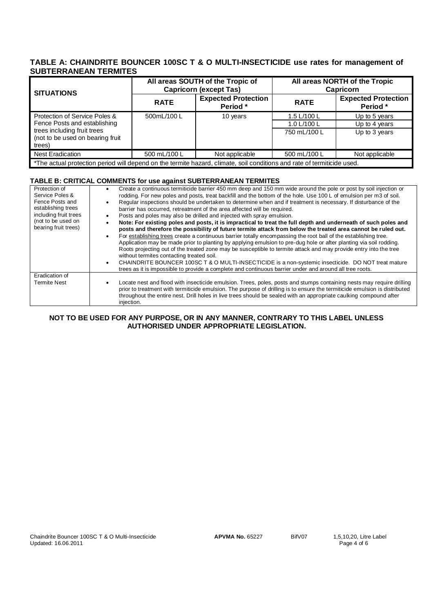# **TABLE A: CHAINDRITE BOUNCER 100SC T & O MULTI-INSECTICIDE use rates for management of SUBTERRANEAN TERMITES**

| SITUATIONS                                                                                                              |              | All areas SOUTH of the Tropic of<br><b>Capricorn (except Tas)</b> | All areas NORTH of the Tropic<br><b>Capricorn</b> |                                        |  |
|-------------------------------------------------------------------------------------------------------------------------|--------------|-------------------------------------------------------------------|---------------------------------------------------|----------------------------------------|--|
|                                                                                                                         | <b>RATE</b>  | <b>Expected Protection</b><br>Period *                            | <b>RATE</b>                                       | <b>Expected Protection</b><br>Period * |  |
| Protection of Service Poles &                                                                                           | 500mL/100 L  | 10 years                                                          | 1.5 L/100 L                                       | Up to 5 years                          |  |
| Fence Posts and establishing                                                                                            |              |                                                                   | 1.0 L/100 L                                       | Up to 4 years                          |  |
| trees including fruit trees<br>(not to be used on bearing fruit<br>trees)                                               |              |                                                                   | 750 mL/100 L                                      | Up to 3 years                          |  |
| <b>Nest Eradication</b>                                                                                                 | 500 mL/100 L | Not applicable                                                    | 500 mL/100 L                                      | Not applicable                         |  |
| *The actual protection period will depend on the termite hazard, climate, soil conditions and rate of termiticide used. |              |                                                                   |                                                   |                                        |  |

# **TABLE B: CRITICAL COMMENTS for use against SUBTERRANEAN TERMITES**

| Protection of<br>Service Poles &<br>Fence Posts and<br>establishing trees<br>including fruit trees<br>(not to be used on<br>bearing fruit trees) | Create a continuous termiticide barrier 450 mm deep and 150 mm wide around the pole or post by soil injection or<br>rodding. For new poles and posts, treat backfill and the bottom of the hole. Use 100 L of emulsion per m3 of soil.<br>Regular inspections should be undertaken to determine when and if treatment is necessary. If disturbance of the<br>barrier has occurred, retreatment of the area affected will be required.<br>Posts and poles may also be drilled and injected with spray emulsion.<br>Note: For existing poles and posts, it is impractical to treat the full depth and underneath of such poles and<br>posts and therefore the possibility of future termite attack from below the treated area cannot be ruled out.<br>For establishing trees create a continuous barrier totally encompassing the root ball of the establishing tree.<br>Application may be made prior to planting by applying emulsion to pre-dug hole or after planting via soil rodding.<br>Roots projecting out of the treated zone may be susceptible to termite attack and may provide entry into the tree<br>without termites contacting treated soil.<br>CHAINDRITE BOUNCER 100SC T & O MULTI-INSECTICIDE is a non-systemic insecticide. DO NOT treat mature<br>trees as it is impossible to provide a complete and continuous barrier under and around all tree roots. |
|--------------------------------------------------------------------------------------------------------------------------------------------------|--------------------------------------------------------------------------------------------------------------------------------------------------------------------------------------------------------------------------------------------------------------------------------------------------------------------------------------------------------------------------------------------------------------------------------------------------------------------------------------------------------------------------------------------------------------------------------------------------------------------------------------------------------------------------------------------------------------------------------------------------------------------------------------------------------------------------------------------------------------------------------------------------------------------------------------------------------------------------------------------------------------------------------------------------------------------------------------------------------------------------------------------------------------------------------------------------------------------------------------------------------------------------------------------------------------------------------------------------------------------------------|
| Eradication of                                                                                                                                   |                                                                                                                                                                                                                                                                                                                                                                                                                                                                                                                                                                                                                                                                                                                                                                                                                                                                                                                                                                                                                                                                                                                                                                                                                                                                                                                                                                                |
| <b>Termite Nest</b>                                                                                                                              | Locate nest and flood with insecticide emulsion. Trees, poles, posts and stumps containing nests may require drilling<br>prior to treatment with termiticide emulsion. The purpose of drilling is to ensure the termiticide emulsion is distributed<br>throughout the entire nest. Drill holes in live trees should be sealed with an appropriate caulking compound after<br>injection.                                                                                                                                                                                                                                                                                                                                                                                                                                                                                                                                                                                                                                                                                                                                                                                                                                                                                                                                                                                        |

# **NOT TO BE USED FOR ANY PURPOSE, OR IN ANY MANNER, CONTRARY TO THIS LABEL UNLESS AUTHORISED UNDER APPROPRIATE LEGISLATION.**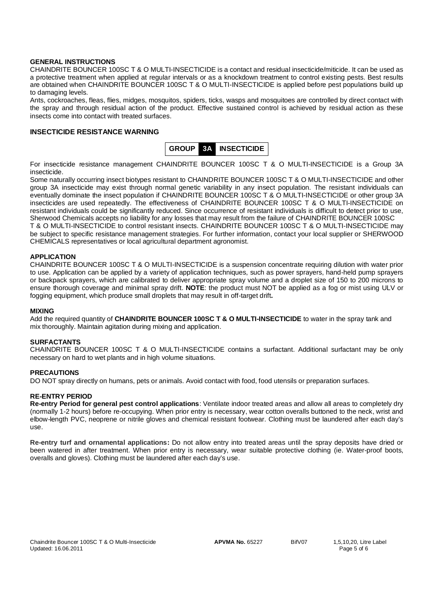# **GENERAL INSTRUCTIONS**

CHAINDRITE BOUNCER 100SC T & O MULTI-INSECTICIDE is a contact and residual insecticide/miticide. It can be used as a protective treatment when applied at regular intervals or as a knockdown treatment to control existing pests. Best results are obtained when CHAINDRITE BOUNCER 100SC T & O MULTI-INSECTICIDE is applied before pest populations build up to damaging levels.

Ants, cockroaches, fleas, flies, midges, mosquitos, spiders, ticks, wasps and mosquitoes are controlled by direct contact with the spray and through residual action of the product. Effective sustained control is achieved by residual action as these insects come into contact with treated surfaces.

# **INSECTICIDE RESISTANCE WARNING**



For insecticide resistance management CHAINDRITE BOUNCER 100SC T & O MULTI-INSECTICIDE is a Group 3A insecticide.

Some naturally occurring insect biotypes resistant to CHAINDRITE BOUNCER 100SC T & O MULTI-INSECTICIDE and other group 3A insecticide may exist through normal genetic variability in any insect population. The resistant individuals can eventually dominate the insect population if CHAINDRITE BOUNCER 100SC T & O MULTI-INSECTICIDE or other group 3A insecticides are used repeatedly. The effectiveness of CHAINDRITE BOUNCER 100SC T & O MULTI-INSECTICIDE on resistant individuals could be significantly reduced. Since occurrence of resistant individuals is difficult to detect prior to use, Sherwood Chemicals accepts no liability for any losses that may result from the failure of CHAINDRITE BOUNCER 100SC T & O MULTI-INSECTICIDE to control resistant insects. CHAINDRITE BOUNCER 100SC T & O MULTI-INSECTICIDE may be subject to specific resistance management strategies. For further information, contact your local supplier or SHERWOOD CHEMICALS representatives or local agricultural department agronomist.

# **APPLICATION**

CHAINDRITE BOUNCER 100SC T & O MULTI-INSECTICIDE is a suspension concentrate requiring dilution with water prior to use. Application can be applied by a variety of application techniques, such as power sprayers, hand-held pump sprayers or backpack sprayers, which are calibrated to deliver appropriate spray volume and a droplet size of 150 to 200 microns to ensure thorough coverage and minimal spray drift. **NOTE**: the product must NOT be applied as a fog or mist using ULV or fogging equipment, which produce small droplets that may result in off-target drift**.** 

## **MIXING**

Add the required quantity of **CHAINDRITE BOUNCER 100SC T & O MULTI-INSECTICIDE** to water in the spray tank and mix thoroughly. Maintain agitation during mixing and application.

## **SURFACTANTS**

CHAINDRITE BOUNCER 100SC T & O MULTI-INSECTICIDE contains a surfactant. Additional surfactant may be only necessary on hard to wet plants and in high volume situations.

## **PRECAUTIONS**

DO NOT spray directly on humans, pets or animals. Avoid contact with food, food utensils or preparation surfaces.

# **RE-ENTRY PERIOD**

**Re-entry Period for general pest control applications**: Ventilate indoor treated areas and allow all areas to completely dry (normally 1-2 hours) before re-occupying. When prior entry is necessary, wear cotton overalls buttoned to the neck, wrist and elbow-length PVC, neoprene or nitrile gloves and chemical resistant footwear. Clothing must be laundered after each day's use.

**Re-entry turf and ornamental applications:** Do not allow entry into treated areas until the spray deposits have dried or been watered in after treatment. When prior entry is necessary, wear suitable protective clothing (ie. Water-proof boots, overalls and gloves). Clothing must be laundered after each day's use.